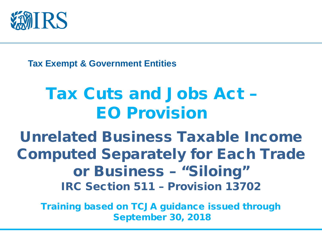

**Tax Exempt & Government Entities**

#### Tax Cuts and Jobs Act – EO Provision

Unrelated Business Taxable Income Computed Separately for Each Trade or Business – "Siloing" IRC Section 511 – Provision 13702

Training based on TCJA guidance issued through September 30, 2018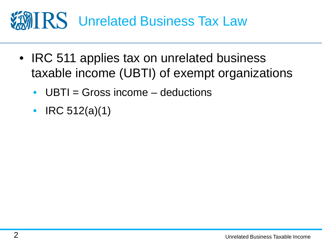# **MIRS** Unrelated Business Tax Law

- IRC 511 applies tax on unrelated business taxable income (UBTI) of exempt organizations
	- $UBTI = Gross$  income  $-$  deductions
	- IRC  $512(a)(1)$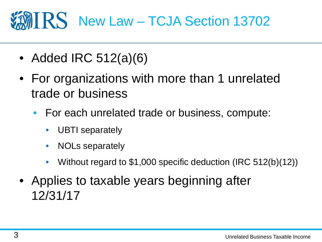#### IRS New Law – TCJA Section 13702

- Added IRC 512(a)(6)
- For organizations with more than 1 unrelated trade or business
	- For each unrelated trade or business, compute:
		- UBTI separately
		- NOLs separately
		- Without regard to \$1,000 specific deduction (IRC 512(b)(12))
- Applies to taxable years beginning after 12/31/17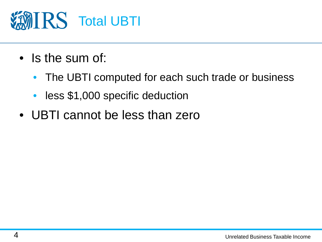

- Is the sum of:
	- The UBTI computed for each such trade or business
	- less \$1,000 specific deduction
- UBTI cannot be less than zero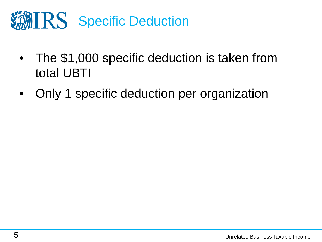

- The \$1,000 specific deduction is taken from total UBTI
- Only 1 specific deduction per organization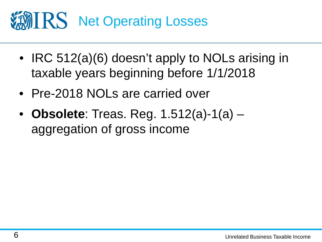# **NET STATES Net Operating Losses**

- IRC 512(a)(6) doesn't apply to NOLs arising in taxable years beginning before 1/1/2018
- Pre-2018 NOLs are carried over
- **Obsolete**: Treas. Reg. 1.512(a)-1(a) aggregation of gross income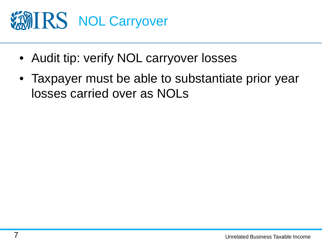

- Audit tip: verify NOL carryover losses
- Taxpayer must be able to substantiate prior year losses carried over as NOLs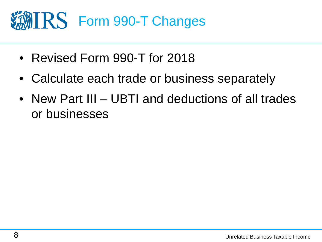

- Revised Form 990-T for 2018
- Calculate each trade or business separately
- New Part III UBTI and deductions of all trades or businesses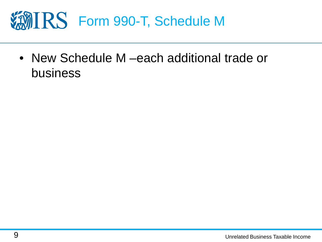

• New Schedule M – each additional trade or business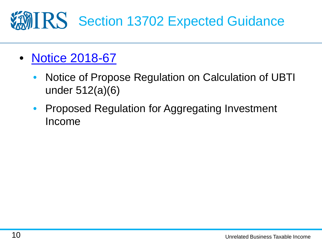## **MIRS** Section 13702 Expected Guidance

- [Notice 2018-67](https://www.irs.gov/pub/irs-drop/n-18-67.pdf)
	- Notice of Propose Regulation on Calculation of UBTI under 512(a)(6)
	- Proposed Regulation for Aggregating Investment Income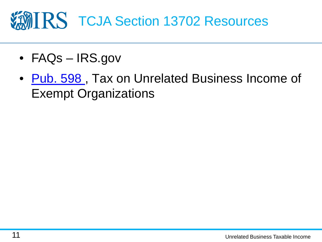# **VANIRS TCJA Section 13702 Resources**

- FAQs IRS.gov
- Pub. 598, Tax on Unrelated Business Income of Exempt Organizations